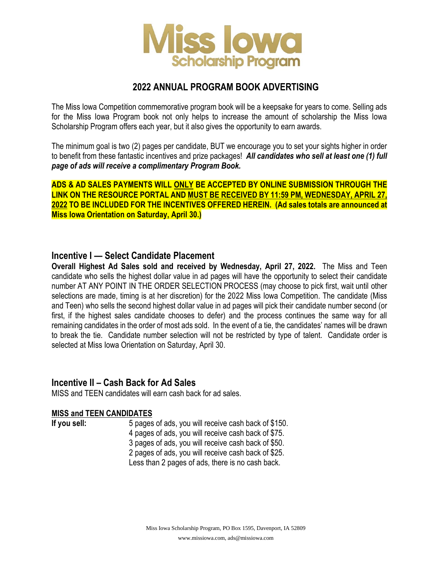

# **2022 ANNUAL PROGRAM BOOK ADVERTISING**

The Miss Iowa Competition commemorative program book will be a keepsake for years to come. Selling ads for the Miss Iowa Program book not only helps to increase the amount of scholarship the Miss Iowa Scholarship Program offers each year, but it also gives the opportunity to earn awards.

The minimum goal is two (2) pages per candidate, BUT we encourage you to set your sights higher in order to benefit from these fantastic incentives and prize packages! *All candidates who sell at least one (1) full page of ads will receive a complimentary Program Book.*

**ADS & AD SALES PAYMENTS WILL ONLY BE ACCEPTED BY ONLINE SUBMISSION THROUGH THE LINK ON THE RESOURCE PORTAL AND MUST BE RECEIVED BY 11:59 PM, WEDNESDAY, APRIL 27, 2022 TO BE INCLUDED FOR THE INCENTIVES OFFERED HEREIN. (Ad sales totals are announced at Miss Iowa Orientation on Saturday, April 30.)**

### **Incentive I — Select Candidate Placement**

**Overall Highest Ad Sales sold and received by Wednesday, April 27, 2022.** The Miss and Teen candidate who sells the highest dollar value in ad pages will have the opportunity to select their candidate number AT ANY POINT IN THE ORDER SELECTION PROCESS (may choose to pick first, wait until other selections are made, timing is at her discretion) for the 2022 Miss Iowa Competition. The candidate (Miss and Teen) who sells the second highest dollar value in ad pages will pick their candidate number second (or first, if the highest sales candidate chooses to defer) and the process continues the same way for all remaining candidates in the order of most ads sold. In the event of a tie, the candidates' names will be drawn to break the tie. Candidate number selection will not be restricted by type of talent. Candidate order is selected at Miss Iowa Orientation on Saturday, April 30.

### **Incentive II – Cash Back for Ad Sales**

MISS and TEEN candidates will earn cash back for ad sales.

### **MISS and TEEN CANDIDATES**

**If you sell:** 5 pages of ads, you will receive cash back of \$150. 4 pages of ads, you will receive cash back of \$75. 3 pages of ads, you will receive cash back of \$50. 2 pages of ads, you will receive cash back of \$25. Less than 2 pages of ads, there is no cash back.